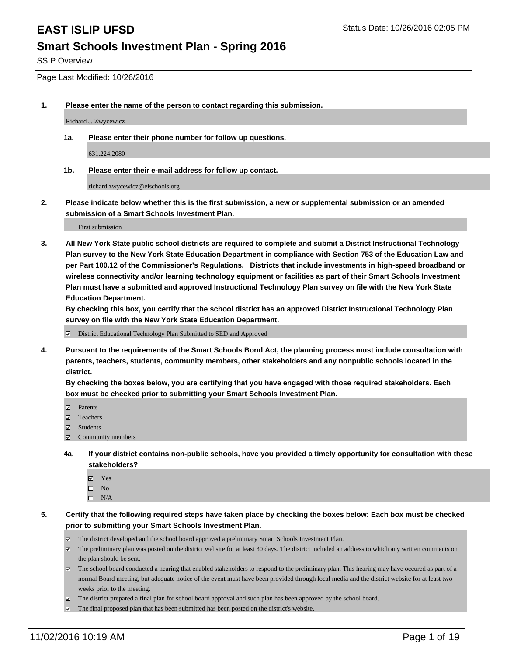SSIP Overview

Page Last Modified: 10/26/2016

**1. Please enter the name of the person to contact regarding this submission.**

Richard J. Zwycewicz

**1a. Please enter their phone number for follow up questions.**

631.224.2080

**1b. Please enter their e-mail address for follow up contact.**

richard.zwycewicz@eischools.org

**2. Please indicate below whether this is the first submission, a new or supplemental submission or an amended submission of a Smart Schools Investment Plan.**

First submission

**3. All New York State public school districts are required to complete and submit a District Instructional Technology Plan survey to the New York State Education Department in compliance with Section 753 of the Education Law and per Part 100.12 of the Commissioner's Regulations. Districts that include investments in high-speed broadband or wireless connectivity and/or learning technology equipment or facilities as part of their Smart Schools Investment Plan must have a submitted and approved Instructional Technology Plan survey on file with the New York State Education Department.** 

**By checking this box, you certify that the school district has an approved District Instructional Technology Plan survey on file with the New York State Education Department.**

District Educational Technology Plan Submitted to SED and Approved

**4. Pursuant to the requirements of the Smart Schools Bond Act, the planning process must include consultation with parents, teachers, students, community members, other stakeholders and any nonpublic schools located in the district.** 

**By checking the boxes below, you are certifying that you have engaged with those required stakeholders. Each box must be checked prior to submitting your Smart Schools Investment Plan.**

- Parents
- Teachers
- $\boxtimes$  Students
- Community members
- **4a. If your district contains non-public schools, have you provided a timely opportunity for consultation with these stakeholders?**
	- Yes  $\square$  No
	- $\square$  N/A
- **5. Certify that the following required steps have taken place by checking the boxes below: Each box must be checked prior to submitting your Smart Schools Investment Plan.**
	- The district developed and the school board approved a preliminary Smart Schools Investment Plan.
	- The preliminary plan was posted on the district website for at least 30 days. The district included an address to which any written comments on the plan should be sent.
	- $\boxtimes$  The school board conducted a hearing that enabled stakeholders to respond to the preliminary plan. This hearing may have occured as part of a normal Board meeting, but adequate notice of the event must have been provided through local media and the district website for at least two weeks prior to the meeting.
	- The district prepared a final plan for school board approval and such plan has been approved by the school board.
	- $\boxtimes$  The final proposed plan that has been submitted has been posted on the district's website.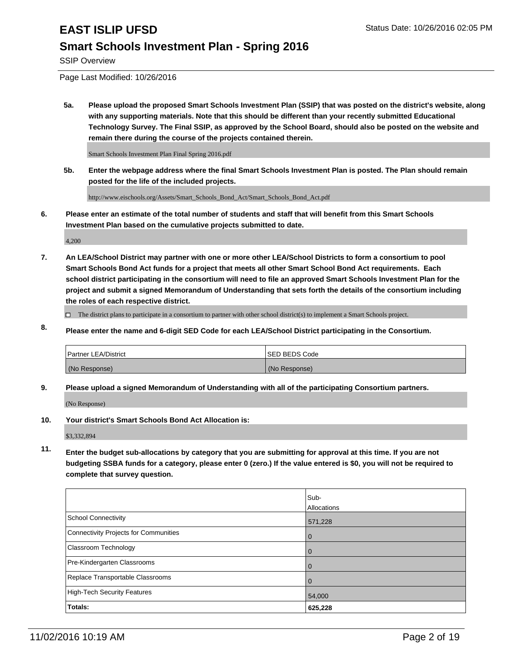SSIP Overview

Page Last Modified: 10/26/2016

**5a. Please upload the proposed Smart Schools Investment Plan (SSIP) that was posted on the district's website, along with any supporting materials. Note that this should be different than your recently submitted Educational Technology Survey. The Final SSIP, as approved by the School Board, should also be posted on the website and remain there during the course of the projects contained therein.**

Smart Schools Investment Plan Final Spring 2016.pdf

**5b. Enter the webpage address where the final Smart Schools Investment Plan is posted. The Plan should remain posted for the life of the included projects.**

http://www.eischools.org/Assets/Smart\_Schools\_Bond\_Act/Smart\_Schools\_Bond\_Act.pdf

**6. Please enter an estimate of the total number of students and staff that will benefit from this Smart Schools Investment Plan based on the cumulative projects submitted to date.**

4,200

**7. An LEA/School District may partner with one or more other LEA/School Districts to form a consortium to pool Smart Schools Bond Act funds for a project that meets all other Smart School Bond Act requirements. Each school district participating in the consortium will need to file an approved Smart Schools Investment Plan for the project and submit a signed Memorandum of Understanding that sets forth the details of the consortium including the roles of each respective district.**

 $\Box$  The district plans to participate in a consortium to partner with other school district(s) to implement a Smart Schools project.

**8. Please enter the name and 6-digit SED Code for each LEA/School District participating in the Consortium.**

| <b>Partner LEA/District</b> | <b>ISED BEDS Code</b> |
|-----------------------------|-----------------------|
| (No Response)               | (No Response)         |

**9. Please upload a signed Memorandum of Understanding with all of the participating Consortium partners.**

(No Response)

**10. Your district's Smart Schools Bond Act Allocation is:**

\$3,332,894

**11. Enter the budget sub-allocations by category that you are submitting for approval at this time. If you are not budgeting SSBA funds for a category, please enter 0 (zero.) If the value entered is \$0, you will not be required to complete that survey question.**

|                                       | Sub-<br>Allocations |
|---------------------------------------|---------------------|
| <b>School Connectivity</b>            | 571,228             |
| Connectivity Projects for Communities | $\Omega$            |
| Classroom Technology                  | 0                   |
| Pre-Kindergarten Classrooms           |                     |
| Replace Transportable Classrooms      | 0                   |
| <b>High-Tech Security Features</b>    | 54,000              |
| Totals:                               | 625,228             |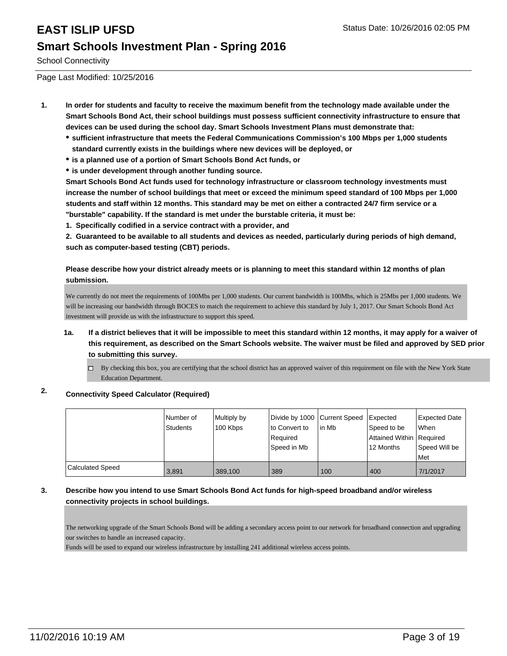School Connectivity

Page Last Modified: 10/25/2016

- **1. In order for students and faculty to receive the maximum benefit from the technology made available under the Smart Schools Bond Act, their school buildings must possess sufficient connectivity infrastructure to ensure that devices can be used during the school day. Smart Schools Investment Plans must demonstrate that:**
	- **sufficient infrastructure that meets the Federal Communications Commission's 100 Mbps per 1,000 students standard currently exists in the buildings where new devices will be deployed, or**
	- **is a planned use of a portion of Smart Schools Bond Act funds, or**
	- **is under development through another funding source.**

**Smart Schools Bond Act funds used for technology infrastructure or classroom technology investments must increase the number of school buildings that meet or exceed the minimum speed standard of 100 Mbps per 1,000 students and staff within 12 months. This standard may be met on either a contracted 24/7 firm service or a "burstable" capability. If the standard is met under the burstable criteria, it must be:**

**1. Specifically codified in a service contract with a provider, and**

**2. Guaranteed to be available to all students and devices as needed, particularly during periods of high demand, such as computer-based testing (CBT) periods.**

**Please describe how your district already meets or is planning to meet this standard within 12 months of plan submission.**

We currently do not meet the requirements of 100Mbs per 1,000 students. Our current bandwidth is 100Mbs, which is 25Mbs per 1,000 students. We will be increasing our bandwidth through BOCES to match the requirement to achieve this standard by July 1, 2017. Our Smart Schools Bond Act investment will provide us with the infrastructure to support this speed.

- **1a. If a district believes that it will be impossible to meet this standard within 12 months, it may apply for a waiver of this requirement, as described on the Smart Schools website. The waiver must be filed and approved by SED prior to submitting this survey.**
	- $\Box$  By checking this box, you are certifying that the school district has an approved waiver of this requirement on file with the New York State Education Department.

### **2. Connectivity Speed Calculator (Required)**

|                         | l Number of<br><b>Students</b> | Multiply by<br>100 Kbps | Divide by 1000 Current Speed<br>to Convert to<br>Required<br>Speed in Mb | l in Mb | Expected<br>Speed to be<br>Attained Within   Required<br>12 Months | <b>Expected Date</b><br>lWhen<br>Speed Will be<br>l Met |
|-------------------------|--------------------------------|-------------------------|--------------------------------------------------------------------------|---------|--------------------------------------------------------------------|---------------------------------------------------------|
| <b>Calculated Speed</b> | 3,891                          | 389,100                 | 389                                                                      | 100     | 400                                                                | 7/1/2017                                                |

### **3. Describe how you intend to use Smart Schools Bond Act funds for high-speed broadband and/or wireless connectivity projects in school buildings.**

The networking upgrade of the Smart Schools Bond will be adding a secondary access point to our network for broadband connection and upgrading our switches to handle an increased capacity.

Funds will be used to expand our wireless infrastructure by installing 241 additional wireless access points.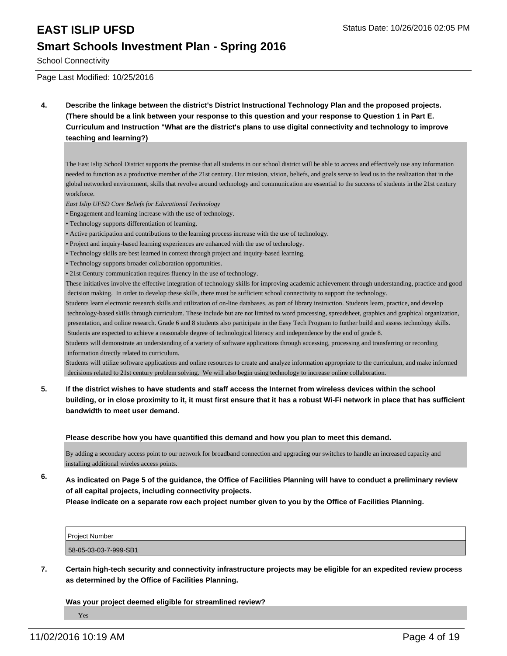### School Connectivity

Page Last Modified: 10/25/2016

**4. Describe the linkage between the district's District Instructional Technology Plan and the proposed projects. (There should be a link between your response to this question and your response to Question 1 in Part E. Curriculum and Instruction "What are the district's plans to use digital connectivity and technology to improve teaching and learning?)**

The East Islip School District supports the premise that all students in our school district will be able to access and effectively use any information needed to function as a productive member of the 21st century. Our mission, vision, beliefs, and goals serve to lead us to the realization that in the global networked environment, skills that revolve around technology and communication are essential to the success of students in the 21st century workforce.

- *East Islip UFSD Core Beliefs for Educational Technology*
- Engagement and learning increase with the use of technology.
- Technology supports differentiation of learning.
- Active participation and contributions to the learning process increase with the use of technology.
- Project and inquiry-based learning experiences are enhanced with the use of technology.
- Technology skills are best learned in context through project and inquiry-based learning.
- Technology supports broader collaboration opportunities.
- 21st Century communication requires fluency in the use of technology.

These initiatives involve the effective integration of technology skills for improving academic achievement through understanding, practice and good decision making. In order to develop these skills, there must be sufficient school connectivity to support the technology.

Students learn electronic research skills and utilization of on-line databases, as part of library instruction. Students learn, practice, and develop technology-based skills through curriculum. These include but are not limited to word processing, spreadsheet, graphics and graphical organization, presentation, and online research. Grade 6 and 8 students also participate in the Easy Tech Program to further build and assess technology skills. Students are expected to achieve a reasonable degree of technological literacy and independence by the end of grade 8.

Students will demonstrate an understanding of a variety of software applications through accessing, processing and transferring or recording information directly related to curriculum.

Students will utilize software applications and online resources to create and analyze information appropriate to the curriculum, and make informed decisions related to 21st century problem solving. We will also begin using technology to increase online collaboration.

**5. If the district wishes to have students and staff access the Internet from wireless devices within the school building, or in close proximity to it, it must first ensure that it has a robust Wi-Fi network in place that has sufficient bandwidth to meet user demand.**

### **Please describe how you have quantified this demand and how you plan to meet this demand.**

By adding a secondary access point to our network for broadband connection and upgrading our switches to handle an increased capacity and installing additional wireles access points.

**6. As indicated on Page 5 of the guidance, the Office of Facilities Planning will have to conduct a preliminary review of all capital projects, including connectivity projects.**

**Please indicate on a separate row each project number given to you by the Office of Facilities Planning.**

| <b>Project Number</b> |  |
|-----------------------|--|
| 58-05-03-03-7-999-SB1 |  |

**7. Certain high-tech security and connectivity infrastructure projects may be eligible for an expedited review process as determined by the Office of Facilities Planning.**

**Was your project deemed eligible for streamlined review?**

Yes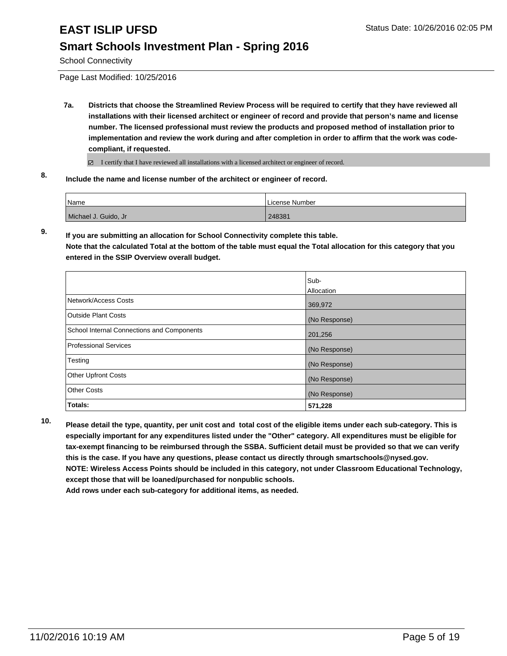School Connectivity

Page Last Modified: 10/25/2016

**7a. Districts that choose the Streamlined Review Process will be required to certify that they have reviewed all installations with their licensed architect or engineer of record and provide that person's name and license number. The licensed professional must review the products and proposed method of installation prior to implementation and review the work during and after completion in order to affirm that the work was codecompliant, if requested.**

I certify that I have reviewed all installations with a licensed architect or engineer of record.

**8. Include the name and license number of the architect or engineer of record.**

| Name                 | License Number |
|----------------------|----------------|
| Michael J. Guido, Jr | 248381         |

**9. If you are submitting an allocation for School Connectivity complete this table. Note that the calculated Total at the bottom of the table must equal the Total allocation for this category that you entered in the SSIP Overview overall budget.** 

|                                            | Sub-<br>Allocation |
|--------------------------------------------|--------------------|
| Network/Access Costs                       | 369,972            |
| <b>Outside Plant Costs</b>                 | (No Response)      |
| School Internal Connections and Components | 201,256            |
| <b>Professional Services</b>               | (No Response)      |
| Testing                                    | (No Response)      |
| <b>Other Upfront Costs</b>                 | (No Response)      |
| <b>Other Costs</b>                         | (No Response)      |
| Totals:                                    | 571,228            |

**10. Please detail the type, quantity, per unit cost and total cost of the eligible items under each sub-category. This is especially important for any expenditures listed under the "Other" category. All expenditures must be eligible for tax-exempt financing to be reimbursed through the SSBA. Sufficient detail must be provided so that we can verify this is the case. If you have any questions, please contact us directly through smartschools@nysed.gov. NOTE: Wireless Access Points should be included in this category, not under Classroom Educational Technology, except those that will be loaned/purchased for nonpublic schools.**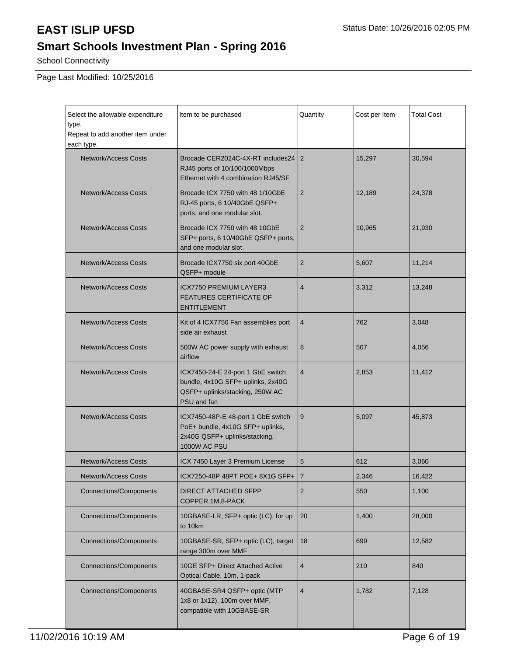# **Smart Schools Investment Plan - Spring 2016**

School Connectivity

Page Last Modified: 10/25/2016

| Select the allowable expenditure<br>type.<br>Repeat to add another item under<br>each type. | Item to be purchased                                                                                                                | Quantity       | Cost per Item | <b>Total Cost</b> |
|---------------------------------------------------------------------------------------------|-------------------------------------------------------------------------------------------------------------------------------------|----------------|---------------|-------------------|
| Network/Access Costs                                                                        | Brocade CER2024C-4X-RT includes24<br>RJ45 ports of 10/100/1000Mbps<br>Ethernet with 4 combination RJ45/SF                           | 2              | 15,297        | 30,594            |
| <b>Network/Access Costs</b>                                                                 | Brocade ICX 7750 with 48 1/10GbE<br>RJ-45 ports, 6 10/40GbE QSFP+<br>ports, and one modular slot.                                   | $\overline{2}$ | 12,189        | 24,378            |
| Network/Access Costs                                                                        | Brocade ICX 7750 with 48 10GbE<br>SFP+ ports, 6 10/40GbE QSFP+ ports,<br>and one modular slot.                                      | $\overline{2}$ | 10,965        | 21,930            |
| <b>Network/Access Costs</b>                                                                 | Brocade ICX7750 six port 40GbE<br>QSFP+ module                                                                                      | 2              | 5,607         | 11,214            |
| Network/Access Costs                                                                        | <b>ICX7750 PREMIUM LAYER3</b><br><b>FEATURES CERTIFICATE OF</b><br><b>ENTITLEMENT</b>                                               | 4              | 3,312         | 13,248            |
| <b>Network/Access Costs</b>                                                                 | Kit of 4 ICX7750 Fan assemblies port<br>side air exhaust                                                                            | 4              | 762           | 3,048             |
| <b>Network/Access Costs</b>                                                                 | 500W AC power supply with exhaust<br>airflow                                                                                        | 8              | 507           | 4,056             |
| <b>Network/Access Costs</b>                                                                 | ICX7450-24-E 24-port 1 GbE switch<br>bundle, 4x10G SFP+ uplinks, 2x40G<br>QSFP+ uplinks/stacking, 250W AC<br>PSU and fan            | $\overline{4}$ | 2,853         | 11,412            |
| <b>Network/Access Costs</b>                                                                 | ICX7450-48P-E 48-port 1 GbE switch<br>9<br>PoE+ bundle, 4x10G SFP+ uplinks,<br>2x40G QSFP+ uplinks/stacking,<br><b>1000W AC PSU</b> |                | 5,097         | 45,873            |
| <b>Network/Access Costs</b>                                                                 | ICX 7450 Layer 3 Premium License                                                                                                    | 5              | 612           | 3,060             |
| Network/Access Costs                                                                        | ICX7250-48P 48PT POE+8X1G SFP+ 7                                                                                                    |                | 2,346         | 16,422            |
| <b>Connections/Components</b>                                                               | <b>DIRECT ATTACHED SFPP</b><br>COPPER, 1M, 8-PACK                                                                                   | 2              | 550           | 1,100             |
| <b>Connections/Components</b>                                                               | 10GBASE-LR, SFP+ optic (LC), for up<br>to 10km                                                                                      | 20             | 1,400         | 28,000            |
| <b>Connections/Components</b>                                                               | 10GBASE-SR, SFP+ optic (LC), target<br>range 300m over MMF                                                                          | 18             | 699           | 12,582            |
| <b>Connections/Components</b>                                                               | 10GE SFP+ Direct Attached Active<br>Optical Cable, 10m, 1-pack                                                                      | 4              | 210           | 840               |
| <b>Connections/Components</b>                                                               | 40GBASE-SR4 QSFP+ optic (MTP<br>1x8 or 1x12), 100m over MMF,<br>compatible with 10GBASE-SR                                          |                | 1,782         | 7,128             |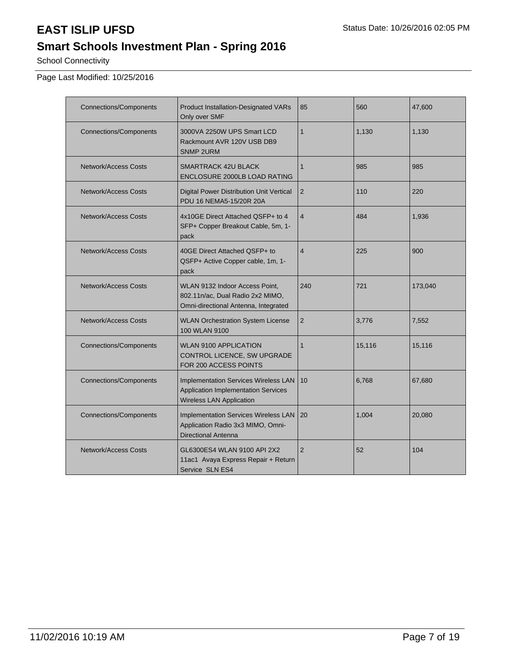# **Smart Schools Investment Plan - Spring 2016**

School Connectivity

Page Last Modified: 10/25/2016

| <b>Connections/Components</b> | <b>Product Installation-Designated VARs</b><br>Only over SMF                                                          | 85             | 560    | 47,600  |
|-------------------------------|-----------------------------------------------------------------------------------------------------------------------|----------------|--------|---------|
| <b>Connections/Components</b> | 3000VA 2250W UPS Smart LCD<br>Rackmount AVR 120V USB DB9<br><b>SNMP 2URM</b>                                          | $\mathbf{1}$   | 1,130  | 1,130   |
| Network/Access Costs          | SMARTRACK 42U BLACK<br><b>ENCLOSURE 2000LB LOAD RATING</b>                                                            | $\mathbf{1}$   | 985    | 985     |
| Network/Access Costs          | Digital Power Distribution Unit Vertical<br>PDU 16 NEMA5-15/20R 20A                                                   | 2              | 110    | 220     |
| <b>Network/Access Costs</b>   | 4x10GE Direct Attached QSFP+ to 4<br>SFP+ Copper Breakout Cable, 5m, 1-<br>pack                                       | $\overline{4}$ | 484    | 1,936   |
| Network/Access Costs          | 40GE Direct Attached QSFP+ to<br>QSFP+ Active Copper cable, 1m, 1-<br>pack                                            | $\overline{4}$ | 225    | 900     |
| Network/Access Costs          | WLAN 9132 Indoor Access Point,<br>802.11n/ac, Dual Radio 2x2 MIMO,<br>Omni-directional Antenna, Integrated            | 240            | 721    | 173,040 |
| <b>Network/Access Costs</b>   | <b>WLAN Orchestration System License</b><br>100 WLAN 9100                                                             | $\overline{2}$ | 3,776  | 7,552   |
| <b>Connections/Components</b> | <b>WLAN 9100 APPLICATION</b><br>CONTROL LICENCE, SW UPGRADE<br>FOR 200 ACCESS POINTS                                  | $\mathbf{1}$   | 15,116 | 15,116  |
| <b>Connections/Components</b> | <b>Implementation Services Wireless LAN</b><br>Application Implementation Services<br><b>Wireless LAN Application</b> | 10             | 6,768  | 67,680  |
| <b>Connections/Components</b> | Implementation Services Wireless LAN<br>Application Radio 3x3 MIMO, Omni-<br><b>Directional Antenna</b>               | 20             | 1,004  | 20,080  |
| Network/Access Costs          | GL6300ES4 WLAN 9100 API 2X2<br>11ac1 Avaya Express Repair + Return<br>Service SLN ES4                                 | $\overline{2}$ | 52     | 104     |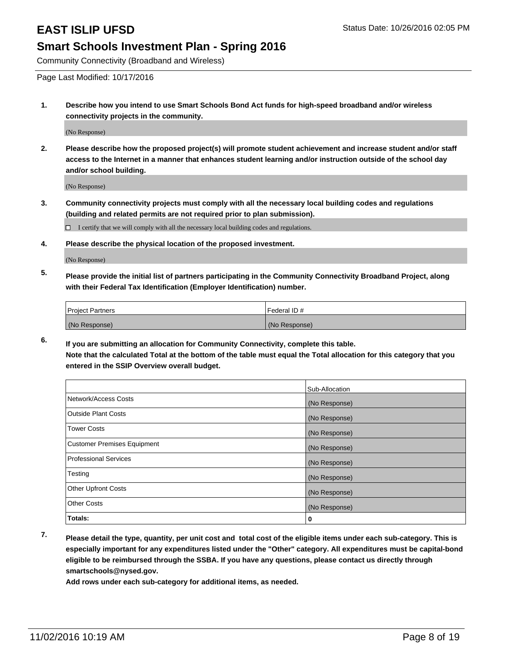Community Connectivity (Broadband and Wireless)

Page Last Modified: 10/17/2016

**1. Describe how you intend to use Smart Schools Bond Act funds for high-speed broadband and/or wireless connectivity projects in the community.**

(No Response)

**2. Please describe how the proposed project(s) will promote student achievement and increase student and/or staff access to the Internet in a manner that enhances student learning and/or instruction outside of the school day and/or school building.**

(No Response)

**3. Community connectivity projects must comply with all the necessary local building codes and regulations (building and related permits are not required prior to plan submission).**

 $\Box$  I certify that we will comply with all the necessary local building codes and regulations.

**4. Please describe the physical location of the proposed investment.**

(No Response)

**5. Please provide the initial list of partners participating in the Community Connectivity Broadband Project, along with their Federal Tax Identification (Employer Identification) number.**

| <b>Project Partners</b> | Federal ID#   |
|-------------------------|---------------|
| (No Response)           | (No Response) |

**6. If you are submitting an allocation for Community Connectivity, complete this table. Note that the calculated Total at the bottom of the table must equal the Total allocation for this category that you entered in the SSIP Overview overall budget.**

|                                    | Sub-Allocation |
|------------------------------------|----------------|
| Network/Access Costs               | (No Response)  |
| <b>Outside Plant Costs</b>         | (No Response)  |
| Tower Costs                        | (No Response)  |
| <b>Customer Premises Equipment</b> | (No Response)  |
| <b>Professional Services</b>       | (No Response)  |
| Testing                            | (No Response)  |
| <b>Other Upfront Costs</b>         | (No Response)  |
| <b>Other Costs</b>                 | (No Response)  |
| Totals:                            | 0              |

**7. Please detail the type, quantity, per unit cost and total cost of the eligible items under each sub-category. This is especially important for any expenditures listed under the "Other" category. All expenditures must be capital-bond eligible to be reimbursed through the SSBA. If you have any questions, please contact us directly through smartschools@nysed.gov.**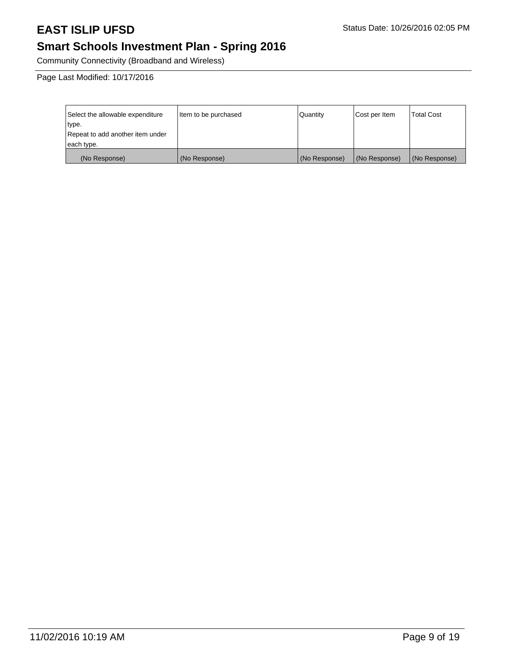# **Smart Schools Investment Plan - Spring 2016**

Community Connectivity (Broadband and Wireless)

Page Last Modified: 10/17/2016

| Select the allowable expenditure | Item to be purchased | Quantity      | Cost per Item | <b>Total Cost</b> |
|----------------------------------|----------------------|---------------|---------------|-------------------|
| type.                            |                      |               |               |                   |
| Repeat to add another item under |                      |               |               |                   |
| each type.                       |                      |               |               |                   |
| (No Response)                    | (No Response)        | (No Response) | (No Response) | (No Response)     |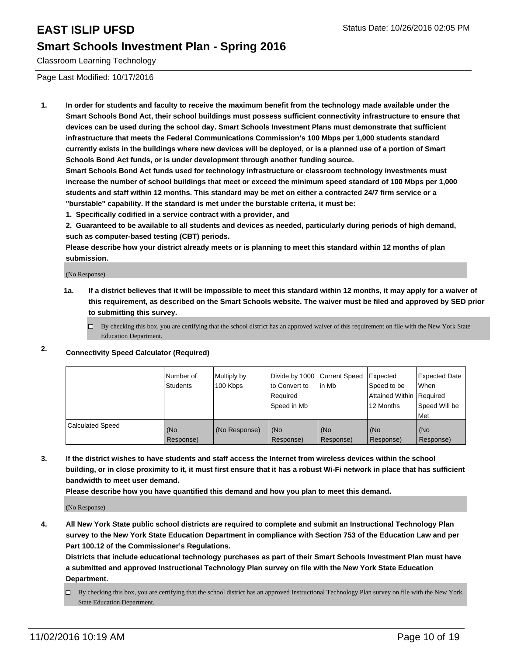Classroom Learning Technology

Page Last Modified: 10/17/2016

**1. In order for students and faculty to receive the maximum benefit from the technology made available under the Smart Schools Bond Act, their school buildings must possess sufficient connectivity infrastructure to ensure that devices can be used during the school day. Smart Schools Investment Plans must demonstrate that sufficient infrastructure that meets the Federal Communications Commission's 100 Mbps per 1,000 students standard currently exists in the buildings where new devices will be deployed, or is a planned use of a portion of Smart Schools Bond Act funds, or is under development through another funding source.**

**Smart Schools Bond Act funds used for technology infrastructure or classroom technology investments must increase the number of school buildings that meet or exceed the minimum speed standard of 100 Mbps per 1,000 students and staff within 12 months. This standard may be met on either a contracted 24/7 firm service or a "burstable" capability. If the standard is met under the burstable criteria, it must be:**

**1. Specifically codified in a service contract with a provider, and**

**2. Guaranteed to be available to all students and devices as needed, particularly during periods of high demand, such as computer-based testing (CBT) periods.**

**Please describe how your district already meets or is planning to meet this standard within 12 months of plan submission.**

(No Response)

- **1a. If a district believes that it will be impossible to meet this standard within 12 months, it may apply for a waiver of this requirement, as described on the Smart Schools website. The waiver must be filed and approved by SED prior to submitting this survey.**
	- $\Box$  By checking this box, you are certifying that the school district has an approved waiver of this requirement on file with the New York State Education Department.

### **2. Connectivity Speed Calculator (Required)**

|                         | l Number of<br>Students | Multiply by<br>100 Kbps | to Convert to<br>l Reauired<br>Speed in Mb | Divide by 1000 Current Speed Expected<br>lin Mb | Speed to be<br>Attained Within Required<br>12 Months | Expected Date<br>l When<br>Speed Will be<br>l Met |
|-------------------------|-------------------------|-------------------------|--------------------------------------------|-------------------------------------------------|------------------------------------------------------|---------------------------------------------------|
| <b>Calculated Speed</b> | (No<br>Response)        | (No Response)           | (No<br>Response)                           | (No<br>Response)                                | (No<br>Response)                                     | (No<br>Response)                                  |

**3. If the district wishes to have students and staff access the Internet from wireless devices within the school building, or in close proximity to it, it must first ensure that it has a robust Wi-Fi network in place that has sufficient bandwidth to meet user demand.**

**Please describe how you have quantified this demand and how you plan to meet this demand.**

(No Response)

**4. All New York State public school districts are required to complete and submit an Instructional Technology Plan survey to the New York State Education Department in compliance with Section 753 of the Education Law and per Part 100.12 of the Commissioner's Regulations.**

**Districts that include educational technology purchases as part of their Smart Schools Investment Plan must have a submitted and approved Instructional Technology Plan survey on file with the New York State Education Department.**

By checking this box, you are certifying that the school district has an approved Instructional Technology Plan survey on file with the New York State Education Department.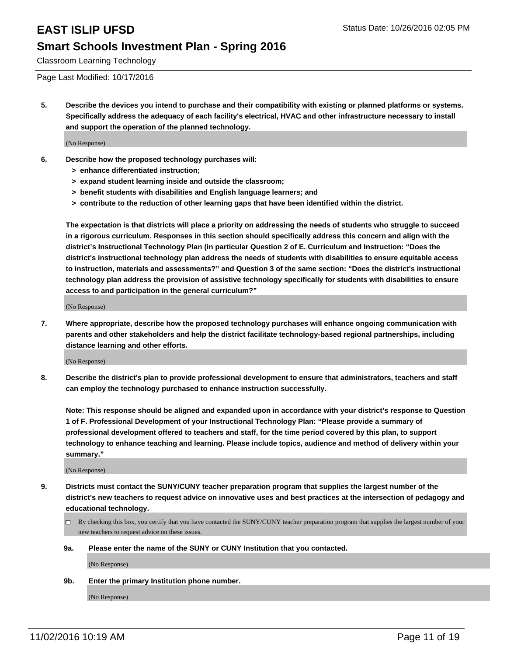Classroom Learning Technology

Page Last Modified: 10/17/2016

**5. Describe the devices you intend to purchase and their compatibility with existing or planned platforms or systems. Specifically address the adequacy of each facility's electrical, HVAC and other infrastructure necessary to install and support the operation of the planned technology.**

(No Response)

- **6. Describe how the proposed technology purchases will:**
	- **> enhance differentiated instruction;**
	- **> expand student learning inside and outside the classroom;**
	- **> benefit students with disabilities and English language learners; and**
	- **> contribute to the reduction of other learning gaps that have been identified within the district.**

**The expectation is that districts will place a priority on addressing the needs of students who struggle to succeed in a rigorous curriculum. Responses in this section should specifically address this concern and align with the district's Instructional Technology Plan (in particular Question 2 of E. Curriculum and Instruction: "Does the district's instructional technology plan address the needs of students with disabilities to ensure equitable access to instruction, materials and assessments?" and Question 3 of the same section: "Does the district's instructional technology plan address the provision of assistive technology specifically for students with disabilities to ensure access to and participation in the general curriculum?"**

(No Response)

**7. Where appropriate, describe how the proposed technology purchases will enhance ongoing communication with parents and other stakeholders and help the district facilitate technology-based regional partnerships, including distance learning and other efforts.**

(No Response)

**8. Describe the district's plan to provide professional development to ensure that administrators, teachers and staff can employ the technology purchased to enhance instruction successfully.**

**Note: This response should be aligned and expanded upon in accordance with your district's response to Question 1 of F. Professional Development of your Instructional Technology Plan: "Please provide a summary of professional development offered to teachers and staff, for the time period covered by this plan, to support technology to enhance teaching and learning. Please include topics, audience and method of delivery within your summary."**

(No Response)

- **9. Districts must contact the SUNY/CUNY teacher preparation program that supplies the largest number of the district's new teachers to request advice on innovative uses and best practices at the intersection of pedagogy and educational technology.**
	- $\Box$  By checking this box, you certify that you have contacted the SUNY/CUNY teacher preparation program that supplies the largest number of your new teachers to request advice on these issues.
	- **9a. Please enter the name of the SUNY or CUNY Institution that you contacted.**

(No Response)

**9b. Enter the primary Institution phone number.**

(No Response)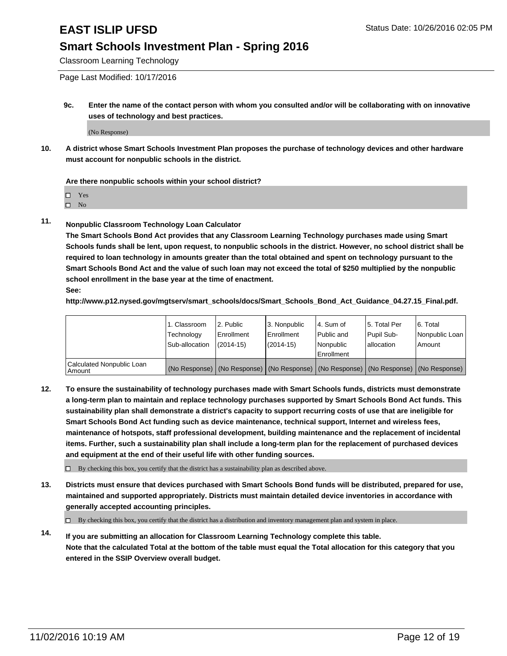Classroom Learning Technology

Page Last Modified: 10/17/2016

**9c. Enter the name of the contact person with whom you consulted and/or will be collaborating with on innovative uses of technology and best practices.**

(No Response)

**10. A district whose Smart Schools Investment Plan proposes the purchase of technology devices and other hardware must account for nonpublic schools in the district.**

**Are there nonpublic schools within your school district?**

□ Yes

 $\square$  No

**11. Nonpublic Classroom Technology Loan Calculator**

**The Smart Schools Bond Act provides that any Classroom Learning Technology purchases made using Smart Schools funds shall be lent, upon request, to nonpublic schools in the district. However, no school district shall be required to loan technology in amounts greater than the total obtained and spent on technology pursuant to the Smart Schools Bond Act and the value of such loan may not exceed the total of \$250 multiplied by the nonpublic school enrollment in the base year at the time of enactment. See:**

**http://www.p12.nysed.gov/mgtserv/smart\_schools/docs/Smart\_Schools\_Bond\_Act\_Guidance\_04.27.15\_Final.pdf.**

|                                         | 1. Classroom<br>Technology | 2. Public<br><b>Enrollment</b> | 3. Nonpublic<br>Enrollment | l 4. Sum of<br>l Public and                                                                   | 5. Total Per<br>Pupil Sub- | 6. Total<br>Nonpublic Loan |
|-----------------------------------------|----------------------------|--------------------------------|----------------------------|-----------------------------------------------------------------------------------------------|----------------------------|----------------------------|
|                                         | Sub-allocation             | $(2014 - 15)$                  | $(2014 - 15)$              | Nonpublic<br>Enrollment                                                                       | lallocation                | Amount                     |
| Calculated Nonpublic Loan<br>l Amount i |                            |                                |                            | (No Response)   (No Response)   (No Response)   (No Response)   (No Response)   (No Response) |                            |                            |

**12. To ensure the sustainability of technology purchases made with Smart Schools funds, districts must demonstrate a long-term plan to maintain and replace technology purchases supported by Smart Schools Bond Act funds. This sustainability plan shall demonstrate a district's capacity to support recurring costs of use that are ineligible for Smart Schools Bond Act funding such as device maintenance, technical support, Internet and wireless fees, maintenance of hotspots, staff professional development, building maintenance and the replacement of incidental items. Further, such a sustainability plan shall include a long-term plan for the replacement of purchased devices and equipment at the end of their useful life with other funding sources.**

 $\square$  By checking this box, you certify that the district has a sustainability plan as described above.

**13. Districts must ensure that devices purchased with Smart Schools Bond funds will be distributed, prepared for use, maintained and supported appropriately. Districts must maintain detailed device inventories in accordance with generally accepted accounting principles.**

By checking this box, you certify that the district has a distribution and inventory management plan and system in place.

**14. If you are submitting an allocation for Classroom Learning Technology complete this table. Note that the calculated Total at the bottom of the table must equal the Total allocation for this category that you entered in the SSIP Overview overall budget.**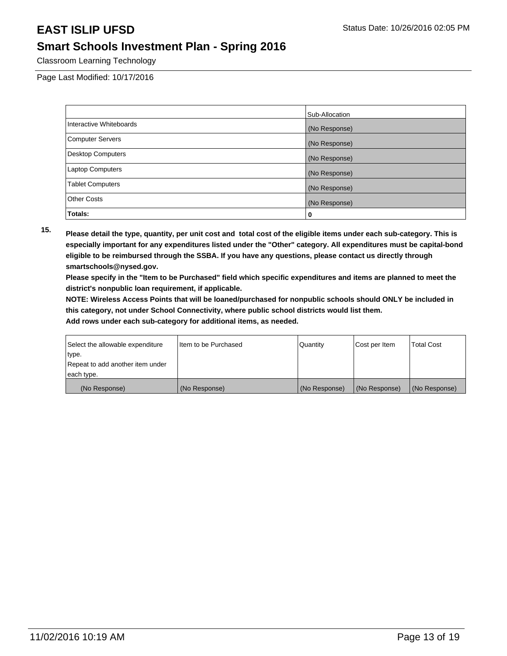Classroom Learning Technology

Page Last Modified: 10/17/2016

|                          | Sub-Allocation |
|--------------------------|----------------|
| Interactive Whiteboards  | (No Response)  |
| <b>Computer Servers</b>  | (No Response)  |
| <b>Desktop Computers</b> | (No Response)  |
| Laptop Computers         | (No Response)  |
| <b>Tablet Computers</b>  | (No Response)  |
| <b>Other Costs</b>       | (No Response)  |
| Totals:                  | 0              |

**15. Please detail the type, quantity, per unit cost and total cost of the eligible items under each sub-category. This is especially important for any expenditures listed under the "Other" category. All expenditures must be capital-bond eligible to be reimbursed through the SSBA. If you have any questions, please contact us directly through smartschools@nysed.gov.**

**Please specify in the "Item to be Purchased" field which specific expenditures and items are planned to meet the district's nonpublic loan requirement, if applicable.**

**NOTE: Wireless Access Points that will be loaned/purchased for nonpublic schools should ONLY be included in this category, not under School Connectivity, where public school districts would list them.**

| Select the allowable expenditure | Item to be Purchased | Quantity      | Cost per Item | <b>Total Cost</b> |
|----------------------------------|----------------------|---------------|---------------|-------------------|
| type.                            |                      |               |               |                   |
| Repeat to add another item under |                      |               |               |                   |
| each type.                       |                      |               |               |                   |
| (No Response)                    | (No Response)        | (No Response) | (No Response) | (No Response)     |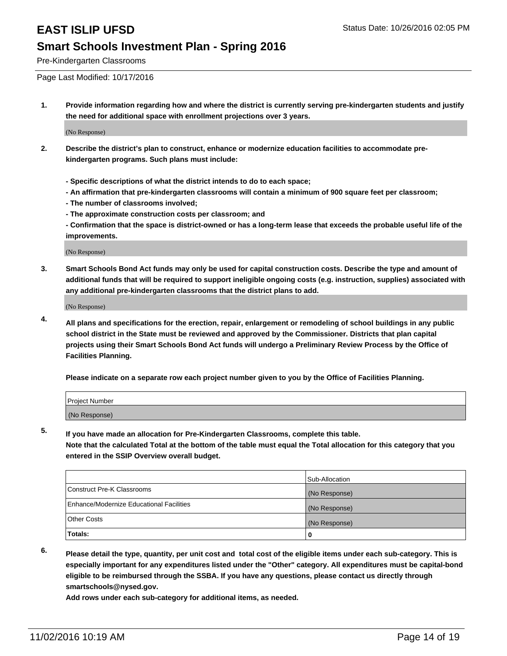Pre-Kindergarten Classrooms

Page Last Modified: 10/17/2016

**1. Provide information regarding how and where the district is currently serving pre-kindergarten students and justify the need for additional space with enrollment projections over 3 years.**

(No Response)

- **2. Describe the district's plan to construct, enhance or modernize education facilities to accommodate prekindergarten programs. Such plans must include:**
	- **Specific descriptions of what the district intends to do to each space;**
	- **An affirmation that pre-kindergarten classrooms will contain a minimum of 900 square feet per classroom;**
	- **The number of classrooms involved;**
	- **The approximate construction costs per classroom; and**
	- **Confirmation that the space is district-owned or has a long-term lease that exceeds the probable useful life of the improvements.**

(No Response)

**3. Smart Schools Bond Act funds may only be used for capital construction costs. Describe the type and amount of additional funds that will be required to support ineligible ongoing costs (e.g. instruction, supplies) associated with any additional pre-kindergarten classrooms that the district plans to add.**

(No Response)

**4. All plans and specifications for the erection, repair, enlargement or remodeling of school buildings in any public school district in the State must be reviewed and approved by the Commissioner. Districts that plan capital projects using their Smart Schools Bond Act funds will undergo a Preliminary Review Process by the Office of Facilities Planning.**

**Please indicate on a separate row each project number given to you by the Office of Facilities Planning.**

| Project Number |  |  |
|----------------|--|--|
| (No Response)  |  |  |

**5. If you have made an allocation for Pre-Kindergarten Classrooms, complete this table.**

**Note that the calculated Total at the bottom of the table must equal the Total allocation for this category that you entered in the SSIP Overview overall budget.**

|                                          | Sub-Allocation |
|------------------------------------------|----------------|
| Construct Pre-K Classrooms               | (No Response)  |
| Enhance/Modernize Educational Facilities | (No Response)  |
| Other Costs                              | (No Response)  |
| <b>Totals:</b>                           |                |

**6. Please detail the type, quantity, per unit cost and total cost of the eligible items under each sub-category. This is especially important for any expenditures listed under the "Other" category. All expenditures must be capital-bond eligible to be reimbursed through the SSBA. If you have any questions, please contact us directly through smartschools@nysed.gov.**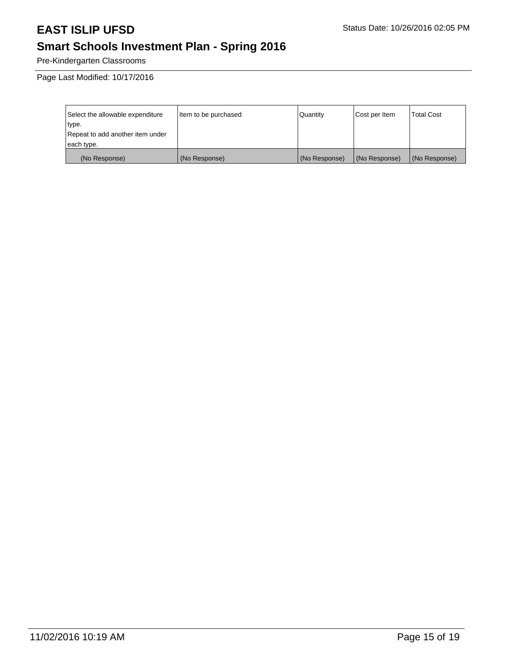# **Smart Schools Investment Plan - Spring 2016**

Pre-Kindergarten Classrooms

Page Last Modified: 10/17/2016

| Select the allowable expenditure | Item to be purchased | Quantity      | Cost per Item | <b>Total Cost</b> |
|----------------------------------|----------------------|---------------|---------------|-------------------|
| type.                            |                      |               |               |                   |
| Repeat to add another item under |                      |               |               |                   |
| each type.                       |                      |               |               |                   |
| (No Response)                    | (No Response)        | (No Response) | (No Response) | (No Response)     |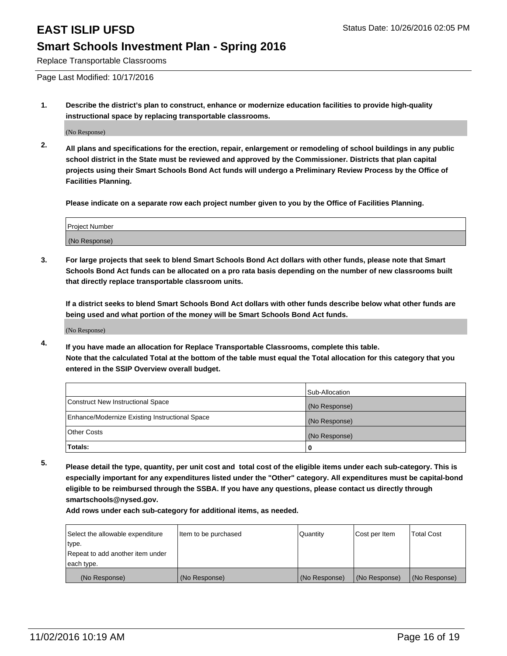Replace Transportable Classrooms

Page Last Modified: 10/17/2016

**1. Describe the district's plan to construct, enhance or modernize education facilities to provide high-quality instructional space by replacing transportable classrooms.**

(No Response)

**2. All plans and specifications for the erection, repair, enlargement or remodeling of school buildings in any public school district in the State must be reviewed and approved by the Commissioner. Districts that plan capital projects using their Smart Schools Bond Act funds will undergo a Preliminary Review Process by the Office of Facilities Planning.**

**Please indicate on a separate row each project number given to you by the Office of Facilities Planning.**

| Project Number |  |
|----------------|--|
| (No Response)  |  |

**3. For large projects that seek to blend Smart Schools Bond Act dollars with other funds, please note that Smart Schools Bond Act funds can be allocated on a pro rata basis depending on the number of new classrooms built that directly replace transportable classroom units.**

**If a district seeks to blend Smart Schools Bond Act dollars with other funds describe below what other funds are being used and what portion of the money will be Smart Schools Bond Act funds.**

(No Response)

**4. If you have made an allocation for Replace Transportable Classrooms, complete this table. Note that the calculated Total at the bottom of the table must equal the Total allocation for this category that you entered in the SSIP Overview overall budget.**

|                                                | Sub-Allocation |
|------------------------------------------------|----------------|
| Construct New Instructional Space              | (No Response)  |
| Enhance/Modernize Existing Instructional Space | (No Response)  |
| Other Costs                                    | (No Response)  |
| Totals:                                        | 0              |

**5. Please detail the type, quantity, per unit cost and total cost of the eligible items under each sub-category. This is especially important for any expenditures listed under the "Other" category. All expenditures must be capital-bond eligible to be reimbursed through the SSBA. If you have any questions, please contact us directly through smartschools@nysed.gov.**

| Select the allowable expenditure | Item to be purchased | Quantity      | Cost per Item | Total Cost    |
|----------------------------------|----------------------|---------------|---------------|---------------|
| type.                            |                      |               |               |               |
| Repeat to add another item under |                      |               |               |               |
| each type.                       |                      |               |               |               |
| (No Response)                    | (No Response)        | (No Response) | (No Response) | (No Response) |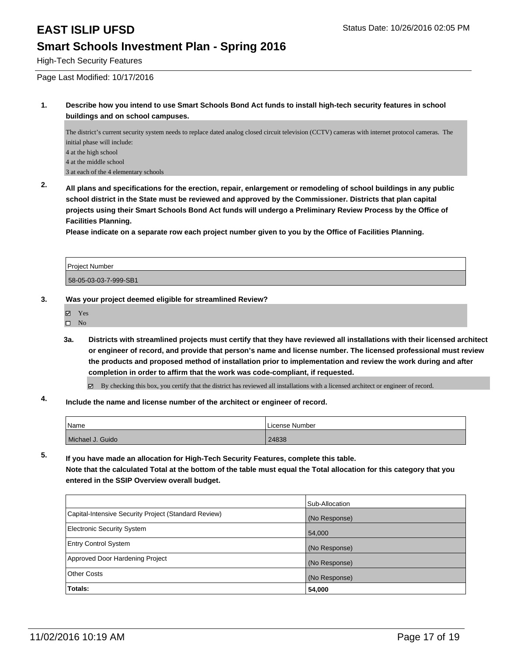High-Tech Security Features

Page Last Modified: 10/17/2016

### **1. Describe how you intend to use Smart Schools Bond Act funds to install high-tech security features in school buildings and on school campuses.**

The district's current security system needs to replace dated analog closed circuit television (CCTV) cameras with internet protocol cameras. The initial phase will include: 4 at the high school 4 at the middle school 3 at each of the 4 elementary schools

**2. All plans and specifications for the erection, repair, enlargement or remodeling of school buildings in any public school district in the State must be reviewed and approved by the Commissioner. Districts that plan capital projects using their Smart Schools Bond Act funds will undergo a Preliminary Review Process by the Office of Facilities Planning.** 

**Please indicate on a separate row each project number given to you by the Office of Facilities Planning.**

Project Number 58-05-03-03-7-999-SB1

### **3. Was your project deemed eligible for streamlined Review?**

- Yes
- $\square$  No
- **3a. Districts with streamlined projects must certify that they have reviewed all installations with their licensed architect or engineer of record, and provide that person's name and license number. The licensed professional must review the products and proposed method of installation prior to implementation and review the work during and after completion in order to affirm that the work was code-compliant, if requested.**

By checking this box, you certify that the district has reviewed all installations with a licensed architect or engineer of record.

### **4. Include the name and license number of the architect or engineer of record.**

| <sup>1</sup> Name | License Number |
|-------------------|----------------|
| Michael J. Guido  | 24838          |

**5. If you have made an allocation for High-Tech Security Features, complete this table. Note that the calculated Total at the bottom of the table must equal the Total allocation for this category that you entered in the SSIP Overview overall budget.**

|                                                      | Sub-Allocation |
|------------------------------------------------------|----------------|
| Capital-Intensive Security Project (Standard Review) | (No Response)  |
| Electronic Security System                           | 54,000         |
| <b>Entry Control System</b>                          | (No Response)  |
| Approved Door Hardening Project                      | (No Response)  |
| Other Costs                                          | (No Response)  |
| Totals:                                              | 54,000         |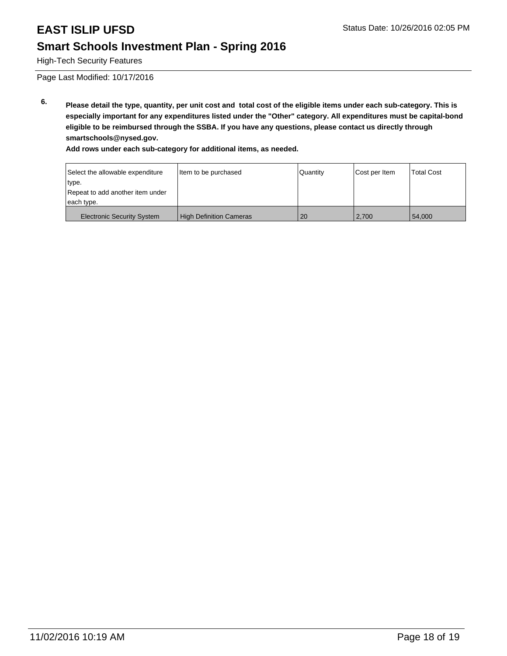High-Tech Security Features

Page Last Modified: 10/17/2016

**6. Please detail the type, quantity, per unit cost and total cost of the eligible items under each sub-category. This is especially important for any expenditures listed under the "Other" category. All expenditures must be capital-bond eligible to be reimbursed through the SSBA. If you have any questions, please contact us directly through smartschools@nysed.gov.**

| Select the allowable expenditure  | Item to be purchased           | Quantity | Cost per Item | <b>Total Cost</b> |
|-----------------------------------|--------------------------------|----------|---------------|-------------------|
| type.                             |                                |          |               |                   |
| Repeat to add another item under  |                                |          |               |                   |
| each type.                        |                                |          |               |                   |
| <b>Electronic Security System</b> | <b>High Definition Cameras</b> | 20       | 2.700         | 54.000            |